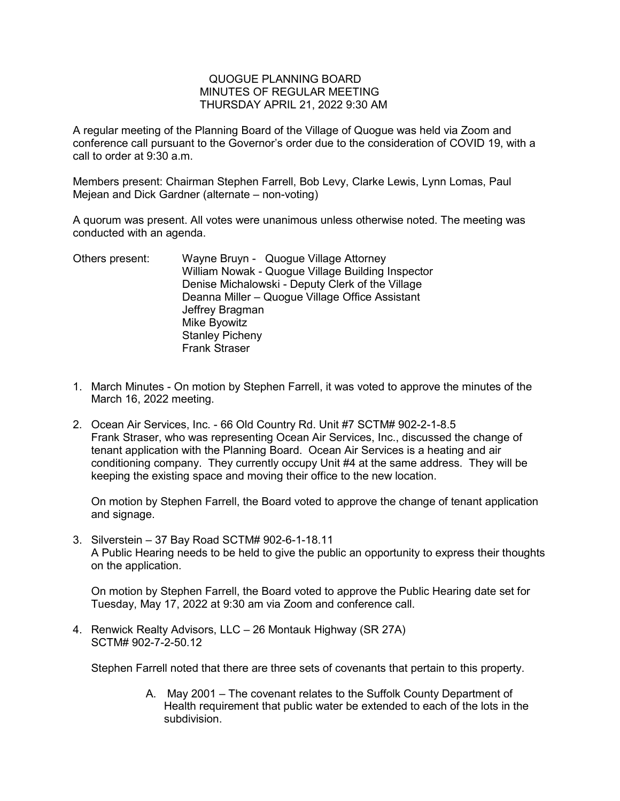## QUOGUE PLANNING BOARD MINUTES OF REGULAR MEETING THURSDAY APRIL 21, 2022 9:30 AM

A regular meeting of the Planning Board of the Village of Quogue was held via Zoom and conference call pursuant to the Governor's order due to the consideration of COVID 19, with a call to order at 9:30 a.m.

Members present: Chairman Stephen Farrell, Bob Levy, Clarke Lewis, Lynn Lomas, Paul Mejean and Dick Gardner (alternate – non-voting)

A quorum was present. All votes were unanimous unless otherwise noted. The meeting was conducted with an agenda.

Others present: Wayne Bruyn - Quogue Village Attorney William Nowak - Quogue Village Building Inspector Denise Michalowski - Deputy Clerk of the Village Deanna Miller – Quogue Village Office Assistant Jeffrey Bragman Mike Byowitz Stanley Picheny Frank Straser

- 1. March Minutes On motion by Stephen Farrell, it was voted to approve the minutes of the March 16, 2022 meeting.
- 2. Ocean Air Services, Inc. 66 Old Country Rd. Unit #7 SCTM# 902-2-1-8.5 Frank Straser, who was representing Ocean Air Services, Inc., discussed the change of tenant application with the Planning Board. Ocean Air Services is a heating and air conditioning company. They currently occupy Unit #4 at the same address. They will be keeping the existing space and moving their office to the new location.

On motion by Stephen Farrell, the Board voted to approve the change of tenant application and signage.

3. Silverstein – 37 Bay Road SCTM# 902-6-1-18.11 A Public Hearing needs to be held to give the public an opportunity to express their thoughts on the application.

On motion by Stephen Farrell, the Board voted to approve the Public Hearing date set for Tuesday, May 17, 2022 at 9:30 am via Zoom and conference call.

4. Renwick Realty Advisors, LLC – 26 Montauk Highway (SR 27A) SCTM# 902-7-2-50.12

Stephen Farrell noted that there are three sets of covenants that pertain to this property.

A. May 2001 – The covenant relates to the Suffolk County Department of Health requirement that public water be extended to each of the lots in the subdivision.